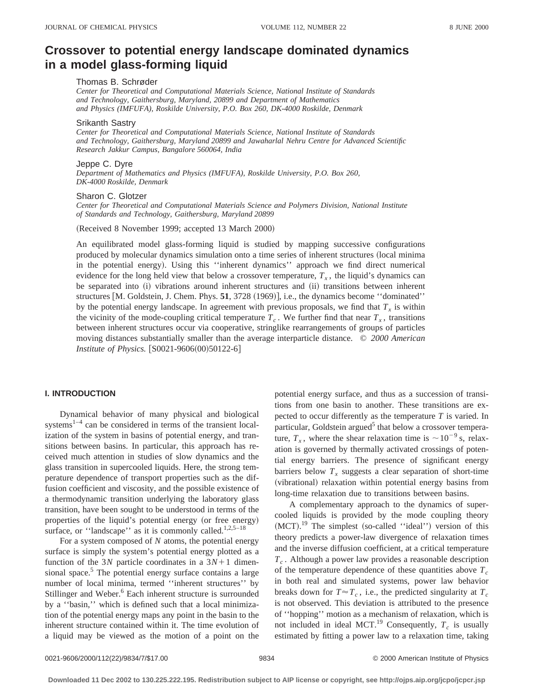# **Crossover to potential energy landscape dominated dynamics in a model glass-forming liquid**

# Thomas B. Schrøder

*Center for Theoretical and Computational Materials Science, National Institute of Standards and Technology, Gaithersburg, Maryland, 20899 and Department of Mathematics and Physics (IMFUFA), Roskilde University, P.O. Box 260, DK-4000 Roskilde, Denmark*

#### Srikanth Sastry

*Center for Theoretical and Computational Materials Science, National Institute of Standards and Technology, Gaithersburg, Maryland 20899 and Jawaharlal Nehru Centre for Advanced Scientific Research Jakkur Campus, Bangalore 560064, India*

## Jeppe C. Dyre

*Department of Mathematics and Physics (IMFUFA), Roskilde University, P.O. Box 260, DK-4000 Roskilde, Denmark*

## Sharon C. Glotzer

*Center for Theoretical and Computational Materials Science and Polymers Division, National Institute of Standards and Technology, Gaithersburg, Maryland 20899*

(Received 8 November 1999; accepted 13 March 2000)

An equilibrated model glass-forming liquid is studied by mapping successive configurations produced by molecular dynamics simulation onto a time series of inherent structures (local minima in the potential energy). Using this "inherent dynamics" approach we find direct numerical evidence for the long held view that below a crossover temperature,  $T<sub>x</sub>$ , the liquid's dynamics can be separated into (i) vibrations around inherent structures and (ii) transitions between inherent structures  $[M.$  Goldstein, J. Chem. Phys. **51**, 3728  $(1969)$ ], i.e., the dynamics become "dominated" by the potential energy landscape. In agreement with previous proposals, we find that  $T_x$  is within the vicinity of the mode-coupling critical temperature  $T_c$ . We further find that near  $T_x$ , transitions between inherent structures occur via cooperative, stringlike rearrangements of groups of particles moving distances substantially smaller than the average interparticle distance. © *2000 American Institute of Physics.* [S0021-9606(00)50122-6]

## **I. INTRODUCTION**

Dynamical behavior of many physical and biological systems $1-4$  can be considered in terms of the transient localization of the system in basins of potential energy, and transitions between basins. In particular, this approach has received much attention in studies of slow dynamics and the glass transition in supercooled liquids. Here, the strong temperature dependence of transport properties such as the diffusion coefficient and viscosity, and the possible existence of a thermodynamic transition underlying the laboratory glass transition, have been sought to be understood in terms of the properties of the liquid's potential energy (or free energy) surface, or "landscape" as it is commonly called. $1,2,5-18$ 

For a system composed of *N* atoms, the potential energy surface is simply the system's potential energy plotted as a function of the 3*N* particle coordinates in a  $3N+1$  dimensional space.<sup>5</sup> The potential energy surface contains a large number of local minima, termed ''inherent structures'' by Stillinger and Weber.<sup>6</sup> Each inherent structure is surrounded by a ''basin,'' which is defined such that a local minimization of the potential energy maps any point in the basin to the inherent structure contained within it. The time evolution of a liquid may be viewed as the motion of a point on the potential energy surface, and thus as a succession of transitions from one basin to another. These transitions are expected to occur differently as the temperature *T* is varied. In particular, Goldstein argued<sup>5</sup> that below a crossover temperature,  $T_x$ , where the shear relaxation time is  $\sim 10^{-9}$  s, relaxation is governed by thermally activated crossings of potential energy barriers. The presence of significant energy barriers below  $T<sub>x</sub>$  suggests a clear separation of short-time (vibrational) relaxation within potential energy basins from long-time relaxation due to transitions between basins.

A complementary approach to the dynamics of supercooled liquids is provided by the mode coupling theory  $(MCT).<sup>19</sup>$  The simplest (so-called "ideal") version of this theory predicts a power-law divergence of relaxation times and the inverse diffusion coefficient, at a critical temperature *Tc* . Although a power law provides a reasonable description of the temperature dependence of these quantities above  $T_c$ in both real and simulated systems, power law behavior breaks down for  $T \approx T_c$ , i.e., the predicted singularity at  $T_c$ is not observed. This deviation is attributed to the presence of ''hopping'' motion as a mechanism of relaxation, which is not included in ideal MCT.<sup>19</sup> Consequently,  $T_c$  is usually estimated by fitting a power law to a relaxation time, taking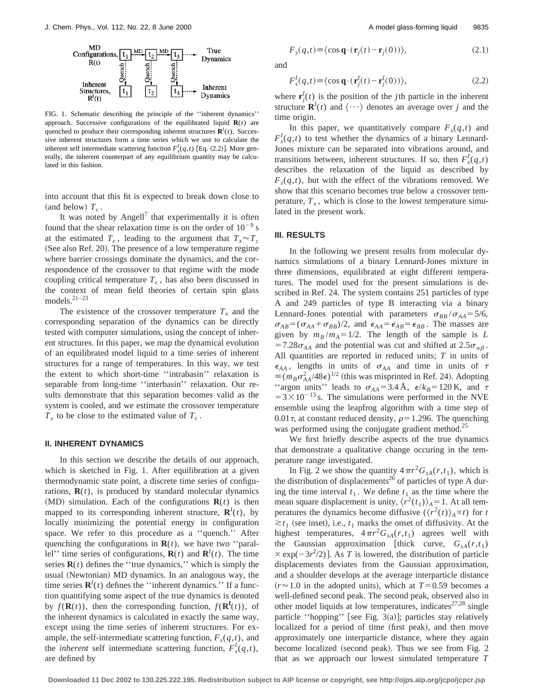

FIG. 1. Schematic describing the principle of the ''inherent dynamics'' approach. Successive configurations of the equilibrated liquid  $\mathbf{R}(t)$  are quenched to produce their corresponding inherent structures  $\mathbf{R}^I(t)$ . Successive inherent structures form a time series which we use to calculate the inherent self intermediate scattering function  $F_s^I(q,t)$  [Eq. (2.2)]. More generally, the inherent counterpart of any equilibrium quantity may be calculated in this fashion.

into account that this fit is expected to break down close to (and below)  $T_c$ .

It was noted by Angell<sup>7</sup> that experimentally it is often found that the shear relaxation time is on the order of  $10^{-9}$  s at the estimated  $T_c$ , leading to the argument that  $T_x \approx T_c$ (See also Ref. 20). The presence of a low temperature regime where barrier crossings dominate the dynamics, and the correspondence of the crossover to that regime with the mode coupling critical temperature  $T_c$ , has also been discussed in the context of mean field theories of certain spin glass models.21–23

The existence of the crossover temperature  $T_x$  and the corresponding separation of the dynamics can be directly tested with computer simulations, using the concept of inherent structures. In this paper, we map the dynamical evolution of an equilibrated model liquid to a time series of inherent structures for a range of temperatures. In this way, we test the extent to which short-time ''intrabasin'' relaxation is separable from long-time ''interbasin'' relaxation. Our results demonstrate that this separation becomes valid as the system is cooled, and we estimate the crossover temperature  $T_x$  to be close to the estimated value of  $T_c$ .

#### **II. INHERENT DYNAMICS**

In this section we describe the details of our approach, which is sketched in Fig. 1. After equilibration at a given thermodynamic state point, a discrete time series of configurations,  $\mathbf{R}(t)$ , is produced by standard molecular dynamics  $(MD)$  simulation. Each of the configurations  $\mathbf{R}(t)$  is then mapped to its corresponding inherent structure,  $\mathbf{R}^I(t)$ , by locally minimizing the potential energy in configuration space. We refer to this procedure as a ''quench.'' After quenching the configurations in  $\mathbf{R}(t)$ , we have two "parallel'' time series of configurations,  $\mathbf{R}(t)$  and  $\mathbf{R}^I(t)$ . The time series  $\mathbf{R}(t)$  defines the "true dynamics," which is simply the usual (Newtonian) MD dynamics. In an analogous way, the time series  $\mathbf{R}^I(t)$  defines the "inherent dynamics." If a function quantifying some aspect of the true dynamics is denoted by  $f(\mathbf{R}(t))$ , then the corresponding function,  $f(\mathbf{R}^{I}(t))$ , of the inherent dynamics is calculated in exactly the same way, except using the time series of inherent structures. For example, the self-intermediate scattering function,  $F_s(q,t)$ , and the *inherent* self intermediate scattering function,  $F_s^l(q,t)$ , are defined by

$$
F_s(q,t) \equiv \langle \cos \mathbf{q} \cdot (\mathbf{r}_j(t) - \mathbf{r}_j(0)) \rangle, \tag{2.1}
$$

and

$$
F_s^I(q,t) \equiv \langle \cos \mathbf{q} \cdot (\mathbf{r}_j^I(t) - \mathbf{r}_j^I(0)) \rangle, \tag{2.2}
$$

where  $\mathbf{r}_j^I(t)$  is the position of the *j*th particle in the inherent structure  $\mathbf{R}^I(t)$  and  $\langle \cdots \rangle$  denotes an average over *j* and the time origin.

In this paper, we quantitatively compare  $F_s(q,t)$  and  $F_s^I(q,t)$  to test whether the dynamics of a binary Lennard-Jones mixture can be separated into vibrations around, and transitions between, inherent structures. If so, then  $F_s^I(q,t)$ describes the relaxation of the liquid as described by  $F_s(q,t)$ , but with the effect of the vibrations removed. We show that this scenario becomes true below a crossover temperature,  $T_x$ , which is close to the lowest temperature simulated in the present work.

## **III. RESULTS**

In the following we present results from molecular dynamics simulations of a binary Lennard-Jones mixture in three dimensions, equilibrated at eight different temperatures. The model used for the present simulations is described in Ref. 24. The system contains 251 particles of type A and 249 particles of type B interacting via a binary Lennard-Jones potential with parameters  $\sigma_{BB}/\sigma_{AA} = 5/6$ ,  $\sigma_{AB} = (\sigma_{AA} + \sigma_{BB})/2$ , and  $\epsilon_{AA} = \epsilon_{AB} = \epsilon_{BB}$ . The masses are given by  $m_B/m_A = 1/2$ . The length of the sample is *L* =7.28 $\sigma_{AA}$  and the potential was cut and shifted at 2.5 $\sigma_{\alpha\beta}$ . All quantities are reported in reduced units; *T* in units of  $\epsilon_{AA}$ , lengths in units of  $\sigma_{AA}$  and time in units of  $\tau$  $\equiv (m_B \sigma_{AA}^2 / 48\epsilon)^{1/2}$  (this was misprinted in Ref. 24). Adopting "argon units" leads to  $\sigma_{AA} = 3.4 \text{ Å}$ ,  $\epsilon/k_B = 120 \text{ K}$ , and  $\tau$  $=3\times10^{-13}$  s. The simulations were performed in the NVE ensemble using the leapfrog algorithm with a time step of 0.01 $\tau$ , at constant reduced density,  $\rho$  = 1.296. The quenching was performed using the conjugate gradient method.<sup>25</sup>

We first briefly describe aspects of the true dynamics that demonstrate a qualitative change occuring in the temperature range investigated.

In Fig. 2 we show the quantity  $4\pi r^2 G_{sA}(r,t_1)$ , which is the distribution of displacements<sup>26</sup> of particles of type A during the time interval  $t_1$ . We define  $t_1$  as the time where the mean square displacement is unity,  $\langle r^2(t_1) \rangle_A = 1$ . At all temperatures the dynamics become diffusive  $(\langle r^2(t) \rangle_A \propto t)$  for *t*  $\geq t_1$  (see inset), i.e.,  $t_1$  marks the onset of diffusivity. At the highest temperatures,  $4\pi r^2 G_{sA}(r,t_1)$  agrees well with the Gaussian approximation [thick curve,  $G_{sA}(r,t_1)$ ]  $\propto$  exp( $-3r^2/2$ )]. As *T* is lowered, the distribution of particle displacements deviates from the Gaussian approximation, and a shoulder develops at the average interparticle distance  $(r \approx 1.0$  in the adopted units), which at  $T=0.59$  becomes a well-defined second peak. The second peak, observed also in other model liquids at low temperatures, indicates $27,28$  single particle "hopping" [see Fig. 3(a)]; particles stay relatively localized for a period of time (first peak), and then move approximately one interparticle distance, where they again become localized (second peak). Thus we see from Fig. 2 that as we approach our lowest simulated temperature *T*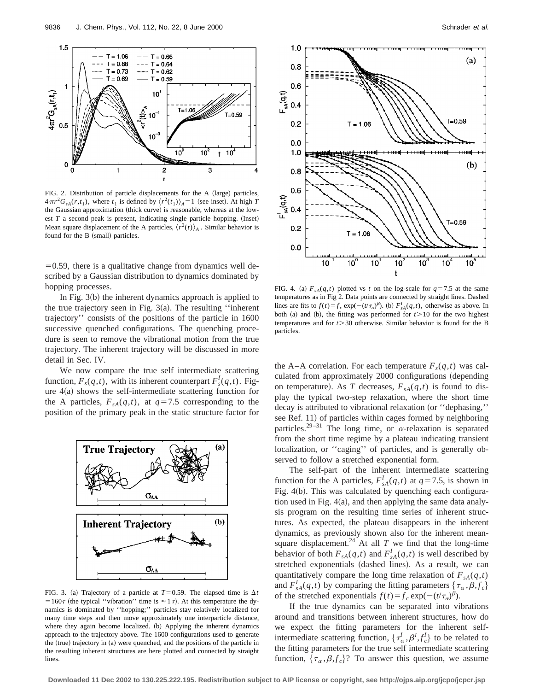

FIG. 2. Distribution of particle displacements for the A (large) particles,  $4\pi r^2 G_{sA}(r,t_1)$ , where  $t_1$  is defined by  $\langle r^2(t_1) \rangle_A = 1$  (see inset). At high *T* the Gaussian approximation (thick curve) is reasonable, whereas at the lowest  $T$  a second peak is present, indicating single particle hopping. (Inset) Mean square displacement of the A particles,  $\langle r^2(t) \rangle_A$ . Similar behavior is found for the B (small) particles.

 $=0.59$ , there is a qualitative change from dynamics well described by a Gaussian distribution to dynamics dominated by hopping processes.

In Fig.  $3(b)$  the inherent dynamics approach is applied to the true trajectory seen in Fig.  $3(a)$ . The resulting "inherent" trajectory'' consists of the positions of the particle in 1600 successive quenched configurations. The quenching procedure is seen to remove the vibrational motion from the true trajectory. The inherent trajectory will be discussed in more detail in Sec. IV.

We now compare the true self intermediate scattering function,  $F_s(q,t)$ , with its inherent counterpart  $F_s^I(q,t)$ . Figure  $4(a)$  shows the self-intermediate scattering function for the A particles,  $F_{sA}(q,t)$ , at  $q=7.5$  corresponding to the position of the primary peak in the static structure factor for



FIG. 3. (a) Trajectory of a particle at  $T=0.59$ . The elapsed time is  $\Delta t$ = 160 $\tau$  (the typical ''vibration'' time is  $\approx 1\tau$ ). At this temperature the dynamics is dominated by ''hopping;'' particles stay relatively localized for many time steps and then move approximately one interparticle distance, where they again become localized. (b) Applying the inherent dynamics approach to the trajectory above. The 1600 configurations used to generate the  $(rue)$  trajectory in  $(a)$  were quenched, and the positions of the particle in the resulting inherent structures are here plotted and connected by straight lines.



FIG. 4. (a)  $F_{sA}(q,t)$  plotted vs *t* on the log-scale for  $q=7.5$  at the same temperatures as in Fig 2. Data points are connected by straight lines. Dashed lines are fits to  $f(t) = f_c \exp(-(t/\tau_a)^{\beta})$ . (b)  $F_{sA}^I(q,t)$ , otherwise as above. In both  $(a)$  and  $(b)$ , the fitting was performed for  $t > 10$  for the two highest temperatures and for  $t > 30$  otherwise. Similar behavior is found for the B particles.

the A–A correlation. For each temperature  $F_s(q,t)$  was calculated from approximately 2000 configurations (depending on temperature). As *T* decreases,  $F_{sA}(q,t)$  is found to display the typical two-step relaxation, where the short time decay is attributed to vibrational relaxation (or "dephasing," see Ref. 11) of particles within cages formed by neighboring particles.<sup>29–31</sup> The long time, or  $\alpha$ -relaxation is separated from the short time regime by a plateau indicating transient localization, or ''caging'' of particles, and is generally observed to follow a stretched exponential form.

The self-part of the inherent intermediate scattering function for the A particles,  $F_{sA}^{I}(q,t)$  at  $q=7.5$ , is shown in Fig.  $4(b)$ . This was calculated by quenching each configuration used in Fig.  $4(a)$ , and then applying the same data analysis program on the resulting time series of inherent structures. As expected, the plateau disappears in the inherent dynamics, as previously shown also for the inherent meansquare displacement.<sup>24</sup> At all  $T$  we find that the long-time behavior of both  $F_{sA}(q,t)$  and  $F_{sA}^I(q,t)$  is well described by stretched exponentials (dashed lines). As a result, we can quantitatively compare the long time relaxation of  $F_{sA}(q,t)$ and  $F_{sA}^I(q,t)$  by comparing the fitting parameters  $\{\tau_\alpha, \beta, f_c\}$ of the stretched exponentials  $f(t) = f_c \exp(-(t/\tau_a)^{\beta})$ .

If the true dynamics can be separated into vibrations around and transitions between inherent structures, how do we expect the fitting parameters for the inherent selfintermediate scattering function,  $\{\tau_\alpha^l, \beta^l, f_c^l\}$  to be related to the fitting parameters for the true self intermediate scattering function,  $\{\tau_{\alpha}, \beta, f_{c}\}$ ? To answer this question, we assume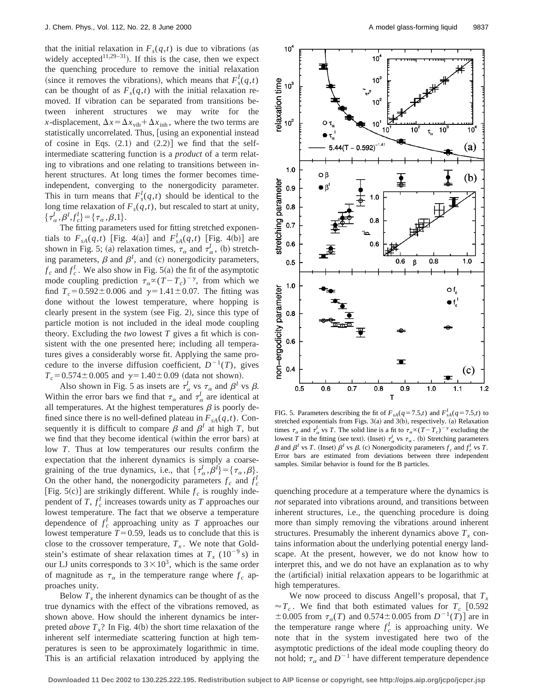that the initial relaxation in  $F_s(q,t)$  is due to vibrations (as widely accepted<sup>11,29–31</sup>). If this is the case, then we expect the quenching procedure to remove the initial relaxation (since it removes the vibrations), which means that  $F_s^I(q,t)$ can be thought of as  $F_s(q,t)$  with the initial relaxation removed. If vibration can be separated from transitions between inherent structures we may write for the *x*-displacement,  $\Delta x = \Delta x_{vib} + \Delta x_{inh}$ , where the two terms are statistically uncorrelated. Thus, [using an exponential instead of cosine in Eqs.  $(2.1)$  and  $(2.2)$ ] we find that the selfintermediate scattering function is a *product* of a term relating to vibrations and one relating to transitions between inherent structures. At long times the former becomes timeindependent, converging to the nonergodicity parameter. This in turn means that  $F_s^l(q,t)$  should be identical to the long time relaxation of  $F_s(q,t)$ , but rescaled to start at unity,  $\{\tau_{\alpha}^I, \beta^I, f_c^I\} = \{\tau_{\alpha}, \beta, 1\}.$ 

The fitting parameters used for fitting stretched exponentials to  $F_{sA}(q,t)$  [Fig. 4(a)] and  $F_{sA}^I(q,t)$  [Fig. 4(b)] are shown in Fig. 5; (a) relaxation times,  $\tau_{\alpha}$  and  $\tau_{\alpha}^{I}$ , (b) stretching parameters,  $\beta$  and  $\beta$ <sup>*I*</sup>, and (c) nonergodicity parameters,  $f_c$  and  $f_c^I$ . We also show in Fig. 5(a) the fit of the asymptotic mode coupling prediction  $\tau_{\alpha} \propto (T - T_c)^{-\gamma}$ , from which we find  $T_c = 0.592 \pm 0.006$  and  $\gamma = 1.41 \pm 0.07$ . The fitting was done without the lowest temperature, where hopping is clearly present in the system (see Fig. 2), since this type of particle motion is not included in the ideal mode coupling theory. Excluding the *two* lowest *T* gives a fit which is consistent with the one presented here; including all temperatures gives a considerably worse fit. Applying the same procedure to the inverse diffusion coefficient,  $D^{-1}(T)$ , gives  $T_c$ =0.574±0.005 and  $\gamma$ =1.40±0.09 (data not shown).

Also shown in Fig. 5 as insets are  $\tau_{\alpha}^{I}$  vs  $\tau_{\alpha}$  and  $\beta^{I}$  vs  $\beta$ . Within the error bars we find that  $\tau_{\alpha}$  and  $\tau_{\alpha}^{I}$  are identical at all temperatures. At the highest temperatures  $\beta$  is poorly defined since there is no well-defined plateau in  $F_{sA}(q,t)$ . Consequently it is difficult to compare  $\beta$  and  $\beta^I$  at high *T*, but we find that they become identical (within the error bars) at low *T*. Thus at low temperatures our results confirm the expectation that the inherent dynamics is simply a coarsegraining of the true dynamics, i.e., that  $\{\tau_{\alpha}^I, \beta^I\} = \{\tau_{\alpha}, \beta\}.$ On the other hand, the nonergodicity parameters  $f_c$  and  $f_c^I$ [Fig. 5(c)] are strikingly different. While  $f_c$  is roughly independent of  $T$ ,  $f_c^I$  increases towards unity as  $\overline{T}$  approaches our lowest temperature. The fact that we observe a temperature dependence of  $f_c^I$  approaching unity as  $T$  approaches our lowest temperature  $T=0.59$ , leads us to conclude that this is close to the crossover temperature,  $T_x$ . We note that Goldstein's estimate of shear relaxation times at  $T_r$  (10<sup>-9</sup> s) in our LJ units corresponds to  $3 \times 10^3$ , which is the same order of magnitude as  $\tau_{\alpha}$  in the temperature range where  $f_c$  approaches unity.

Below  $T<sub>x</sub>$ , the inherent dynamics can be thought of as the true dynamics with the effect of the vibrations removed, as shown above. How should the inherent dynamics be interpreted *above*  $T<sub>x</sub>$ ? In Fig. 4(b) the short time relaxation of the inherent self intermediate scattering function at high temperatures is seen to be approximately logarithmic in time. This is an artificial relaxation introduced by applying the



FIG. 5. Parameters describing the fit of  $F_{sA}(q=7.5,t)$  and  $F_{sA}^I(q=7.5,t)$  to stretched exponentials from Figs.  $3(a)$  and  $3(b)$ , respectively.  $(a)$  Relaxation times  $\tau_{\alpha}$  and  $\tau_{\alpha}^{I}$  vs *T*. The solid line is a fit to  $\tau_{\alpha} \propto (T - T_{c})^{-\gamma}$  excluding the lowest *T* in the fitting (see text). (Inset)  $\tau_{\alpha}^{I}$  vs  $\tau_{\alpha}$ . (b) Stretching parameters  $\beta$  and  $\beta$ <sup>*I*</sup> vs *T*. (Inset)  $\beta$ <sup>*I*</sup> vs  $\beta$ . (c) Nonergodicity parameters  $f_c$  and  $f_c^I$  vs *T*. Error bars are estimated from deviations between three independent samples. Similar behavior is found for the B particles.

quenching procedure at a temperature where the dynamics is *not* separated into vibrations around, and transitions between inherent structures, i.e., the quenching procedure is doing more than simply removing the vibrations around inherent structures. Presumably the inherent dynamics above  $T_x$  contains information about the underlying potential energy landscape. At the present, however, we do not know how to interpret this, and we do not have an explanation as to why the (artificial) initial relaxation appears to be logarithmic at high temperatures.

We now proceed to discuss Angell's proposal, that  $T<sub>x</sub>$  $\approx T_c$ . We find that both estimated values for  $T_c$  [0.592  $\pm 0.005$  from  $\tau_{\alpha}(T)$  and  $0.574 \pm 0.005$  from  $D^{-1}(T)$  are in the temperature range where  $f_c^I$  is approaching unity. We note that in the system investigated here two of the asymptotic predictions of the ideal mode coupling theory do not hold;  $\tau_{\alpha}$  and  $D^{-1}$  have different temperature dependence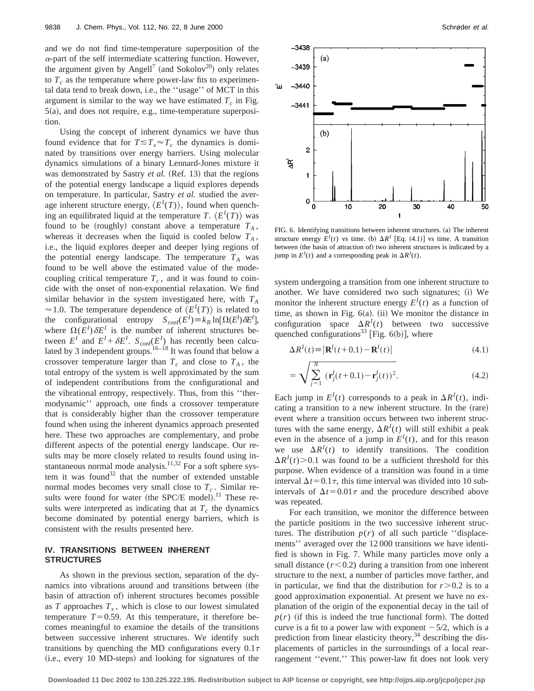and we do not find time-temperature superposition of the  $\alpha$ -part of the self intermediate scattering function. However, the argument given by Angell<sup>7</sup> (and Sokolov<sup>20</sup>) only relates to  $T_c$  as the temperature where power-law fits to experimental data tend to break down, i.e., the ''usage'' of MCT in this argument is similar to the way we have estimated  $T_c$  in Fig.  $5(a)$ , and does not require, e.g., time-temperature superposition.

Using the concept of inherent dynamics we have thus found evidence that for  $T \leq T_x \approx T_c$  the dynamics is dominated by transitions over energy barriers. Using molecular dynamics simulations of a binary Lennard-Jones mixture it was demonstrated by Sastry *et al.* (Ref. 13) that the regions of the potential energy landscape a liquid explores depends on temperature. In particular, Sastry *et al.* studied the average inherent structure energy,  $\langle E^{I}(T) \rangle$ , found when quenching an equilibrated liquid at the temperature *T*.  $\langle E^I(T) \rangle$  was found to be (roughly) constant above a temperature  $T_A$ , whereas it decreases when the liquid is cooled below  $T_A$ , i.e., the liquid explores deeper and deeper lying regions of the potential energy landscape. The temperature  $T_A$  was found to be well above the estimated value of the modecoupling critical temperature  $T_c$ , and it was found to coincide with the onset of non-exponential relaxation. We find similar behavior in the system investigated here, with  $T_A$  $\approx$  1.0. The temperature dependence of  $\langle E^{I}(T) \rangle$  is related to the configurational entropy  $S_{conf}(E^I) \equiv k_B \ln[\Omega(E^I) \delta E^I]$ , where  $\Omega(E^I) \delta E^I$  is the number of inherent structures between  $E^I$  and  $E^I + \delta E^I$ .  $S_{conf}(E^I)$  has recently been calculated by 3 independent groups.<sup>16–18</sup> It was found that below a crossover temperature larger than  $T_c$  and close to  $T_A$ , the total entropy of the system is well approximated by the sum of independent contributions from the configurational and the vibrational entropy, respectively. Thus, from this ''thermodynamic'' approach, one finds a crossover temperature that is considerably higher than the crossover temperature found when using the inherent dynamics approach presented here. These two approaches are complementary, and probe different aspects of the potential energy landscape. Our results may be more closely related to results found using instantaneous normal mode analysis.<sup>11,32</sup> For a soft sphere system it was found<sup>32</sup> that the number of extended unstable normal modes becomes very small close to  $T_c$ . Similar results were found for water (the SPC/E model).<sup>11</sup> These results were interpreted as indicating that at  $T_c$  the dynamics become dominated by potential energy barriers, which is consistent with the results presented here.

## **IV. TRANSITIONS BETWEEN INHERENT STRUCTURES**

As shown in the previous section, separation of the dynamics into vibrations around and transitions between (the basin of attraction of) inherent structures becomes possible as  $T$  approaches  $T<sub>x</sub>$ , which is close to our lowest simulated temperature  $T=0.59$ . At this temperature, it therefore becomes meaningful to examine the details of the transitions between successive inherent structures. We identify such transitions by quenching the MD configurations every  $0.1\tau$ (i.e., every 10 MD-steps) and looking for signatures of the



FIG. 6. Identifying transitions between inherent structures. (a) The inherent structure energy  $E^I(t)$  vs time. (b)  $\Delta R^I$  [Eq. (4.1)] vs time. A transition between (the basin of attraction of) two inherent structures is indicated by a jump in  $E^{I}(t)$  and a corresponding peak in  $\Delta R^{I}(t)$ .

system undergoing a transition from one inherent structure to another. We have considered two such signatures; (i) We monitor the inherent structure energy  $E^{I}(t)$  as a function of time, as shown in Fig.  $6(a)$ . (ii) We monitor the distance in configuration space  $\Delta R^I(t)$  between two successive quenched configurations<sup>33</sup> [Fig.  $6(b)$ ], where

$$
\Delta R^{I}(t) \equiv |\mathbf{R}^{I}(t+0.1) - \mathbf{R}^{I}(t)| \tag{4.1}
$$

$$
= \sqrt{\sum_{j=1}^{N} (\mathbf{r}_j^{I}(t+0.1) - \mathbf{r}_j^{I}(t))^2}.
$$
 (4.2)

Each jump in  $E^{I}(t)$  corresponds to a peak in  $\Delta R^{I}(t)$ , indicating a transition to a new inherent structure. In the (rare) event where a transition occurs between two inherent structures with the same energy,  $\Delta R^I(t)$  will still exhibit a peak even in the absence of a jump in  $E^I(t)$ , and for this reason we use  $\Delta R^I(t)$  to identify transitions. The condition  $\Delta R^I(t)$  > 0.1 was found to be a sufficient threshold for this purpose. When evidence of a transition was found in a time interval  $\Delta t$ =0.1 $\tau$ , this time interval was divided into 10 subintervals of  $\Delta t$ =0.01 $\tau$  and the procedure described above was repeated.

For each transition, we monitor the difference between the particle positions in the two successive inherent structures. The distribution  $p(r)$  of all such particle "displacements'' averaged over the 12 000 transitions we have identified is shown in Fig. 7. While many particles move only a small distance  $(r<0.2)$  during a transition from one inherent structure to the next, a number of particles move farther, and in particular, we find that the distribution for  $r > 0.2$  is to a good approximation exponential. At present we have no explanation of the origin of the exponential decay in the tail of  $p(r)$  (if this is indeed the true functional form). The dotted curve is a fit to a power law with exponent  $-5/2$ , which is a prediction from linear elasticity theory,  $34$  describing the displacements of particles in the surroundings of a local rearrangement ''event.'' This power-law fit does not look very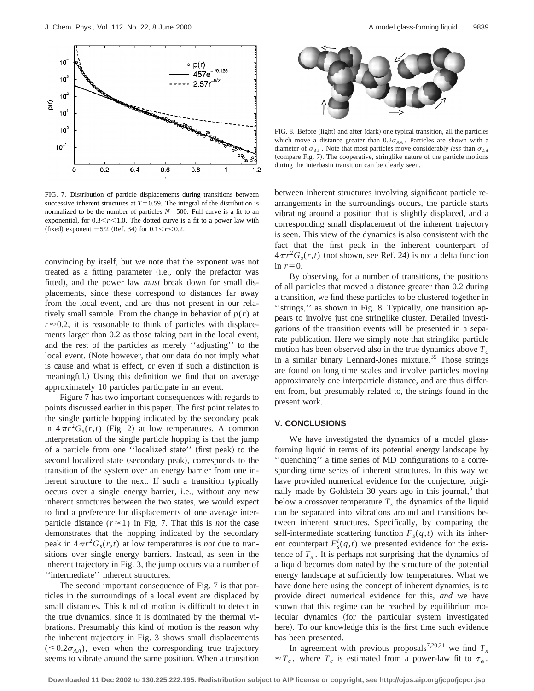

FIG. 7. Distribution of particle displacements during transitions between successive inherent structures at  $T=0.59$ . The integral of the distribution is normalized to be the number of particles  $N = 500$ . Full curve is a fit to an exponential, for  $0.3 < r < 1.0$ . The dotted curve is a fit to a power law with  $(\text{fixed})$  exponent  $-5/2$  (Ref. 34) for  $0.1 \le r \le 0.2$ .

convincing by itself, but we note that the exponent was not treated as a fitting parameter (i.e., only the prefactor was fitted), and the power law *must* break down for small displacements, since these correspond to distances far away from the local event, and are thus not present in our relatively small sample. From the change in behavior of  $p(r)$  at  $r \approx 0.2$ , it is reasonable to think of particles with displacements larger than 0.2 as those taking part in the local event, and the rest of the particles as merely ''adjusting'' to the local event. (Note however, that our data do not imply what is cause and what is effect, or even if such a distinction is meaningful.) Using this definition we find that on average approximately 10 particles participate in an event.

Figure 7 has two important consequences with regards to points discussed earlier in this paper. The first point relates to the single particle hopping indicated by the secondary peak in  $4\pi r^2 G_s(r,t)$  (Fig. 2) at low temperatures. A common interpretation of the single particle hopping is that the jump of a particle from one "localized state" (first peak) to the second localized state (secondary peak), corresponds to the transition of the system over an energy barrier from one inherent structure to the next. If such a transition typically occurs over a single energy barrier, i.e., without any new inherent structures between the two states, we would expect to find a preference for displacements of one average interparticle distance  $(r \approx 1)$  in Fig. 7. That this is *not* the case demonstrates that the hopping indicated by the secondary peak in  $4\pi r^2 G_s(r,t)$  at low temperatures is *not* due to transitions over single energy barriers. Instead, as seen in the inherent trajectory in Fig. 3, the jump occurs via a number of ''intermediate'' inherent structures.

The second important consequence of Fig. 7 is that particles in the surroundings of a local event are displaced by small distances. This kind of motion is difficult to detect in the true dynamics, since it is dominated by the thermal vibrations. Presumably this kind of motion is the reason why the inherent trajectory in Fig. 3 shows small displacements  $(\leq 0.2\sigma_{AA})$ , even when the corresponding true trajectory seems to vibrate around the same position. When a transition



FIG. 8. Before (light) and after (dark) one typical transition, all the particles which move a distance greater than  $0.2\sigma_{AA}$ . Particles are shown with a diameter of  $\sigma_{AA}$ . Note that most particles move considerably *less* than  $\sigma_{AA}$ (compare Fig. 7). The cooperative, stringlike nature of the particle motions during the interbasin transition can be clearly seen.

between inherent structures involving significant particle rearrangements in the surroundings occurs, the particle starts vibrating around a position that is slightly displaced, and a corresponding small displacement of the inherent trajectory is seen. This view of the dynamics is also consistent with the fact that the first peak in the inherent counterpart of  $4\pi r^2 G_s(r,t)$  (not shown, see Ref. 24) is not a delta function in  $r=0$ .

By observing, for a number of transitions, the positions of all particles that moved a distance greater than 0.2 during a transition, we find these particles to be clustered together in ''strings,'' as shown in Fig. 8. Typically, one transition appears to involve just one stringlike cluster. Detailed investigations of the transition events will be presented in a separate publication. Here we simply note that stringlike particle motion has been observed also in the true dynamics above  $T_c$ in a similar binary Lennard-Jones mixture.<sup>35</sup> Those strings are found on long time scales and involve particles moving approximately one interparticle distance, and are thus different from, but presumably related to, the strings found in the present work.

## **V. CONCLUSIONS**

We have investigated the dynamics of a model glassforming liquid in terms of its potential energy landscape by ''quenching'' a time series of MD configurations to a corresponding time series of inherent structures. In this way we have provided numerical evidence for the conjecture, originally made by Goldstein 30 years ago in this journal, $5$  that below a crossover temperature  $T<sub>x</sub>$  the dynamics of the liquid can be separated into vibrations around and transitions between inherent structures. Specifically, by comparing the self-intermediate scattering function  $F_s(q,t)$  with its inherent counterpart  $F_s^I(q,t)$  we presented evidence for the existence of  $T<sub>x</sub>$ . It is perhaps not surprising that the dynamics of a liquid becomes dominated by the structure of the potential energy landscape at sufficiently low temperatures. What we have done here using the concept of inherent dynamics, is to provide direct numerical evidence for this, *and* we have shown that this regime can be reached by equilibrium molecular dynamics (for the particular system investigated here). To our knowledge this is the first time such evidence has been presented.

In agreement with previous proposals<sup>7,20,21</sup> we find  $T_x$  $\approx T_c$ , where  $T_c$  is estimated from a power-law fit to  $\tau_\alpha$ .